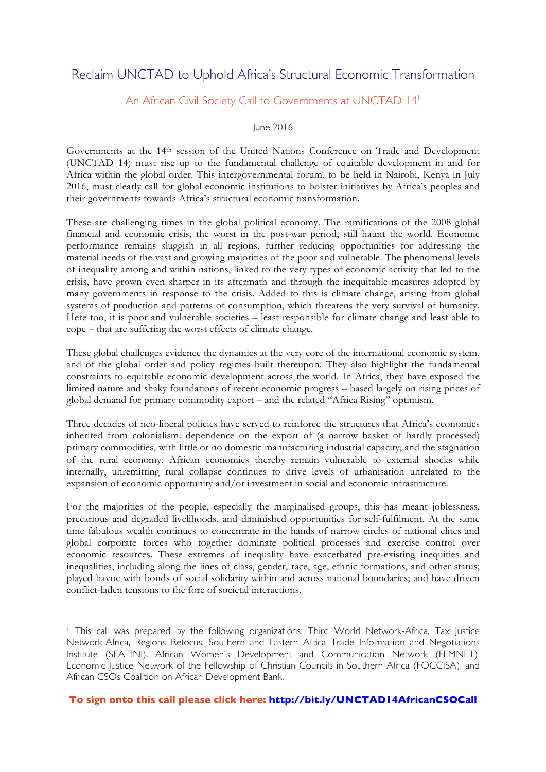## Reclaim UNCTAD to Uphold Africa's Structural Economic Transformation

## An African Civil Society Call to Governments at UNCTAD 14<sup>1</sup>

## June 2016

Governments at the 14th session of the United Nations Conference on Trade and Development (UNCTAD 14) must rise up to the fundamental challenge of equitable development in and for Africa within the global order. This intergovernmental forum, to be held in Nairobi, Kenya in July 2016, must clearly call for global economic institutions to bolster initiatives by Africa's peoples and their governments towards Africa's structural economic transformation.

These are challenging times in the global political economy. The ramifications of the 2008 global financial and economic crisis, the worst in the post-war period, still haunt the world. Economic performance remains sluggish in all regions, further reducing opportunities for addressing the material needs of the vast and growing majorities of the poor and vulnerable. The phenomenal levels of inequality among and within nations, linked to the very types of economic activity that led to the crisis, have grown even sharper in its aftermath and through the inequitable measures adopted by many governments in response to the crisis. Added to this is climate change, arising from global systems of production and patterns of consumption, which threatens the very survival of humanity. Here too, it is poor and vulnerable societies – least responsible for climate change and least able to cope – that are suffering the worst effects of climate change.

These global challenges evidence the dynamics at the very core of the international economic system, and of the global order and policy regimes built thereupon. They also highlight the fundamental constraints to equitable economic development across the world. In Africa, they have exposed the limited nature and shaky foundations of recent economic progress – based largely on rising prices of global demand for primary commodity export – and the related "Africa Rising" optimism.

Three decades of neo-liberal policies have served to reinforce the structures that Africa's economies inherited from colonialism: dependence on the export of (a narrow basket of hardly processed) primary commodities, with little or no domestic manufacturing industrial capacity, and the stagnation of the rural economy. African economies thereby remain vulnerable to external shocks while internally, unremitting rural collapse continues to drive levels of urbanisation unrelated to the expansion of economic opportunity and/or investment in social and economic infrastructure.

For the majorities of the people, especially the marginalised groups, this has meant joblessness, precarious and degraded livelihoods, and diminished opportunities for self-fulfilment. At the same time fabulous wealth continues to concentrate in the hands of narrow circles of national elites and global corporate forces who together dominate political processes and exercise control over economic resources. These extremes of inequality have exacerbated pre-existing inequities and inequalities, including along the lines of class, gender, race, age, ethnic formations, and other status; played havoc with bonds of social solidarity within and across national boundaries; and have driven conflict-laden tensions to the fore of societal interactions.

 $\overline{a}$ 

<sup>1</sup> This call was prepared by the following organizations: Third World Network-Africa, Tax Justice Network-Africa, Regions Refocus, Southern and Eastern Africa Trade Information and Negotiations Institute (SEATINI), African Women's Development and Communication Network (FEMNET), Economic Justice Network of the Fellowship of Christian Councils in Southern Africa (FOCCISA), and African CSOs Coalition on African Development Bank.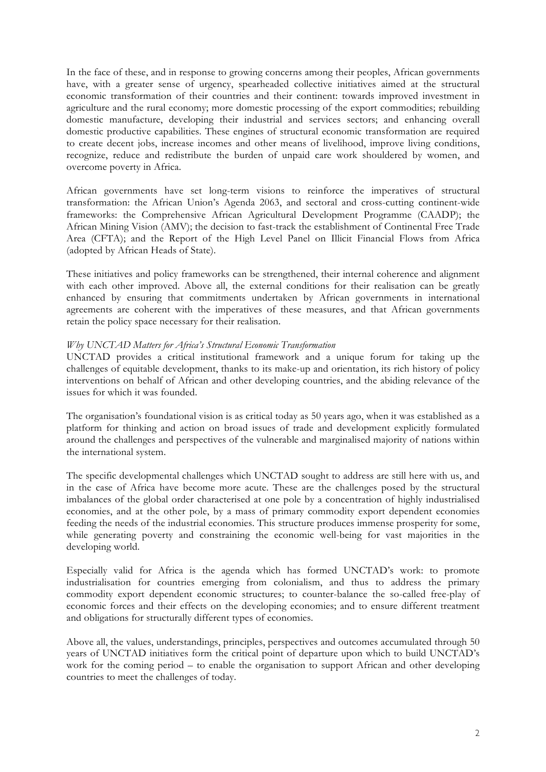In the face of these, and in response to growing concerns among their peoples, African governments have, with a greater sense of urgency, spearheaded collective initiatives aimed at the structural economic transformation of their countries and their continent: towards improved investment in agriculture and the rural economy; more domestic processing of the export commodities; rebuilding domestic manufacture, developing their industrial and services sectors; and enhancing overall domestic productive capabilities. These engines of structural economic transformation are required to create decent jobs, increase incomes and other means of livelihood, improve living conditions, recognize, reduce and redistribute the burden of unpaid care work shouldered by women, and overcome poverty in Africa.

African governments have set long-term visions to reinforce the imperatives of structural transformation: the African Union's Agenda 2063, and sectoral and cross-cutting continent-wide frameworks: the Comprehensive African Agricultural Development Programme (CAADP); the African Mining Vision (AMV); the decision to fast-track the establishment of Continental Free Trade Area (CFTA); and the Report of the High Level Panel on Illicit Financial Flows from Africa (adopted by African Heads of State).

These initiatives and policy frameworks can be strengthened, their internal coherence and alignment with each other improved. Above all, the external conditions for their realisation can be greatly enhanced by ensuring that commitments undertaken by African governments in international agreements are coherent with the imperatives of these measures, and that African governments retain the policy space necessary for their realisation.

## *Why UNCTAD Matters for Africa's Structural Economic Transformation*

UNCTAD provides a critical institutional framework and a unique forum for taking up the challenges of equitable development, thanks to its make-up and orientation, its rich history of policy interventions on behalf of African and other developing countries, and the abiding relevance of the issues for which it was founded.

The organisation's foundational vision is as critical today as 50 years ago, when it was established as a platform for thinking and action on broad issues of trade and development explicitly formulated around the challenges and perspectives of the vulnerable and marginalised majority of nations within the international system.

The specific developmental challenges which UNCTAD sought to address are still here with us, and in the case of Africa have become more acute. These are the challenges posed by the structural imbalances of the global order characterised at one pole by a concentration of highly industrialised economies, and at the other pole, by a mass of primary commodity export dependent economies feeding the needs of the industrial economies. This structure produces immense prosperity for some, while generating poverty and constraining the economic well-being for vast majorities in the developing world.

Especially valid for Africa is the agenda which has formed UNCTAD's work: to promote industrialisation for countries emerging from colonialism, and thus to address the primary commodity export dependent economic structures; to counter-balance the so-called free-play of economic forces and their effects on the developing economies; and to ensure different treatment and obligations for structurally different types of economies.

Above all, the values, understandings, principles, perspectives and outcomes accumulated through 50 years of UNCTAD initiatives form the critical point of departure upon which to build UNCTAD's work for the coming period – to enable the organisation to support African and other developing countries to meet the challenges of today.